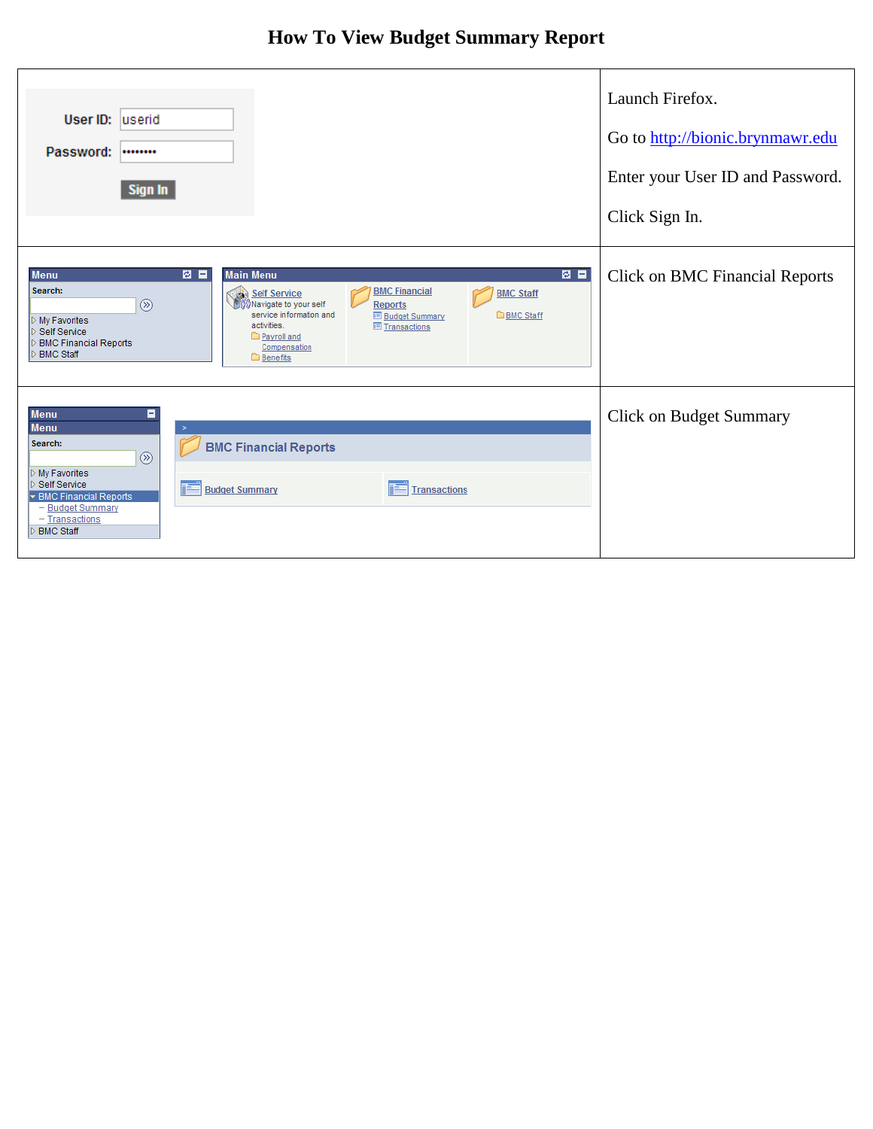## **How To View Budget Summary Report**

| User ID: <u>userid</u><br>Password:<br><br>Sign In                                                                                                                                                                                                                                                                                                                                                                                                            | Launch Firefox.<br>Go to http://bionic.brynmawr.edu<br>Enter your User ID and Password.<br>Click Sign In. |
|---------------------------------------------------------------------------------------------------------------------------------------------------------------------------------------------------------------------------------------------------------------------------------------------------------------------------------------------------------------------------------------------------------------------------------------------------------------|-----------------------------------------------------------------------------------------------------------|
| 图目<br>図目<br><b>Main Menu</b><br><b>Menu</b><br>Search:<br><b>BMC Financial</b><br><b>BMC Staff</b><br><b>Self Service</b><br>Mavigate to your self<br>$\circledR$<br><b>Reports</b><br>service information and<br><b>BMC Staff</b><br><b>E</b> Budget Summary<br>$\triangleright$ My Favorites<br>activities.<br><b>El Transactions</b><br>l⊳ Self Service<br>Payroll and<br>D BMC Financial Reports<br>Compensation<br><b>D</b> BMC Staff<br><b>Benefits</b> | <b>Click on BMC Financial Reports</b>                                                                     |
| <b>Menu</b><br>8<br><b>Menu</b><br>$\geq$<br>Search:<br><b>BMC Financial Reports</b><br>$\circledR$<br>$\triangleright$ My Favorites<br>▷ Self Service<br><b>Budget Summary</b><br><b>Transactions</b><br>▼ BMC Financial Reports<br>- Budget Summary<br>- Transactions<br>D BMC Staff                                                                                                                                                                        | <b>Click on Budget Summary</b>                                                                            |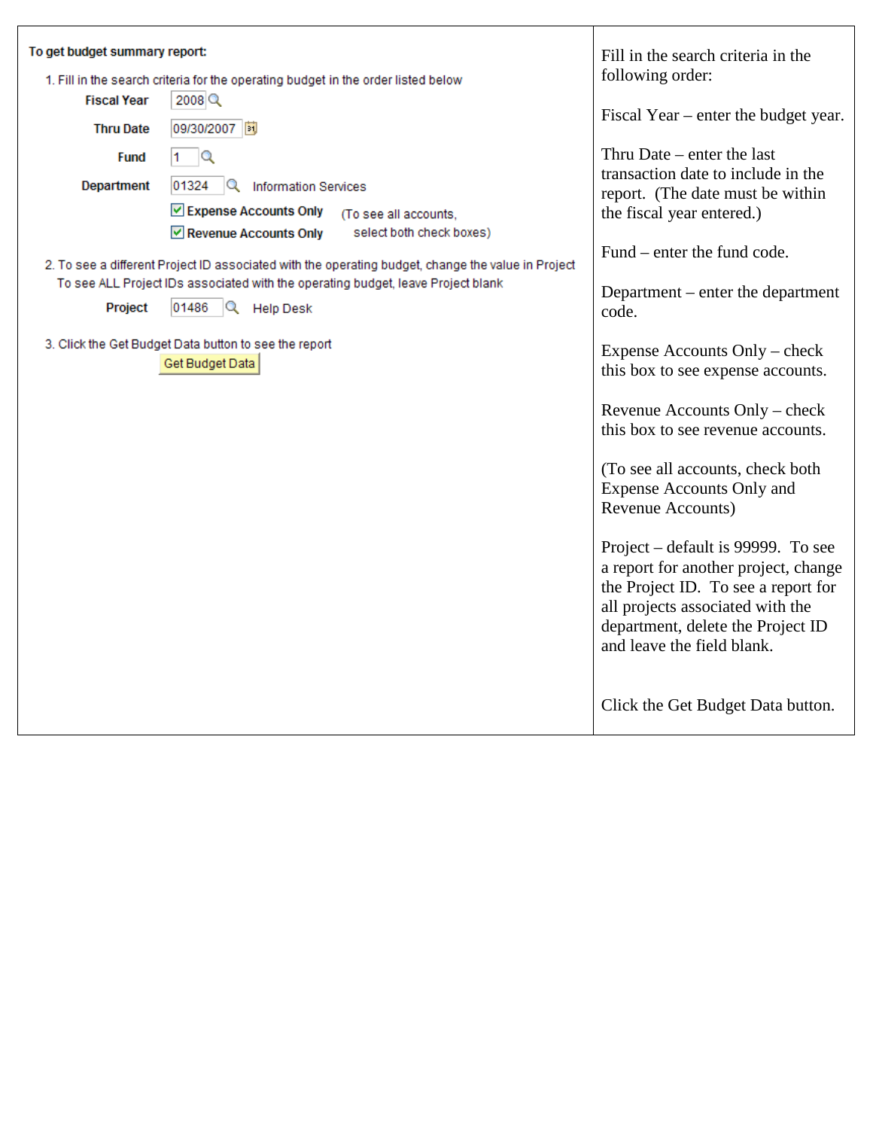| To get budget summary report:<br>1. Fill in the search criteria for the operating budget in the order listed below<br><b>Fiscal Year</b><br>2008<br>09/30/2007 图<br><b>Thru Date</b>                                                                                                                                                                                                                                                                                                                                          | Fill in the search criteria in the<br>following order:<br>Fiscal Year – enter the budget year.                                                                                                                                                                                                                                                                                                                                                                                                                                          |
|-------------------------------------------------------------------------------------------------------------------------------------------------------------------------------------------------------------------------------------------------------------------------------------------------------------------------------------------------------------------------------------------------------------------------------------------------------------------------------------------------------------------------------|-----------------------------------------------------------------------------------------------------------------------------------------------------------------------------------------------------------------------------------------------------------------------------------------------------------------------------------------------------------------------------------------------------------------------------------------------------------------------------------------------------------------------------------------|
| Q<br><b>Fund</b><br>1.<br><b>Department</b><br>01324<br><sup>Q</sup> Information Services<br><b>▽ Expense Accounts Only</b><br>(To see all accounts,<br>Revenue Accounts Only<br>select both check boxes)<br>2. To see a different Project ID associated with the operating budget, change the value in Project<br>To see ALL Project IDs associated with the operating budget, leave Project blank<br>01486<br>$\mathbb{Q}$ Help Desk<br>Project<br>3. Click the Get Budget Data button to see the report<br>Get Budget Data | Thru Date $-$ enter the last<br>transaction date to include in the<br>report. (The date must be within<br>the fiscal year entered.)<br>Fund – enter the fund code.<br>Department – enter the department<br>code.<br>Expense Accounts Only - check<br>this box to see expense accounts.<br>Revenue Accounts Only – check<br>this box to see revenue accounts.<br>(To see all accounts, check both<br><b>Expense Accounts Only and</b><br>Revenue Accounts)<br>Project – default is 99999. To see<br>a report for another project, change |
|                                                                                                                                                                                                                                                                                                                                                                                                                                                                                                                               | the Project ID. To see a report for<br>all projects associated with the<br>department, delete the Project ID<br>and leave the field blank.<br>Click the Get Budget Data button.                                                                                                                                                                                                                                                                                                                                                         |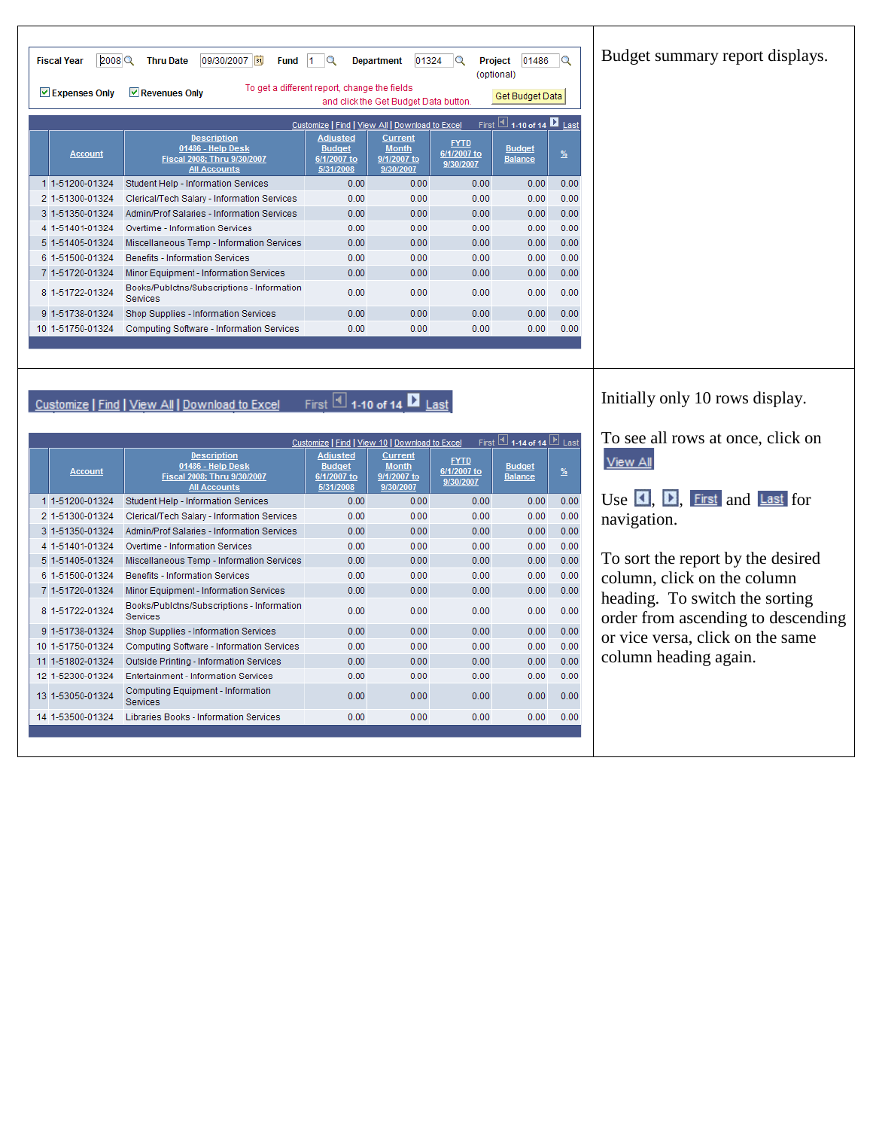| Budget summary report displays. |  |
|---------------------------------|--|
|                                 |  |

| 2008<br>09/30/2007<br>01324<br><b>Fiscal Year</b><br><b>Thru Date</b><br>01486<br>B <sub>1</sub><br><b>Fund</b><br><b>Department</b><br><b>Project</b><br>Q<br>11.<br>$\circ$<br>(optional)<br>To get a different report, change the fields<br>$\vee$ Expenses Only<br>$ $ Revenues Only<br>Get Budget Data<br>and click the Get Budget Data button. |                                                                                               |                                                                                                                            |      |                                         |                                  |               |
|------------------------------------------------------------------------------------------------------------------------------------------------------------------------------------------------------------------------------------------------------------------------------------------------------------------------------------------------------|-----------------------------------------------------------------------------------------------|----------------------------------------------------------------------------------------------------------------------------|------|-----------------------------------------|----------------------------------|---------------|
|                                                                                                                                                                                                                                                                                                                                                      |                                                                                               | Customize   Find   View All   Download to Excel                                                                            |      |                                         | First 1 1-10 of 14 <b>1</b> Last |               |
| <b>Account</b>                                                                                                                                                                                                                                                                                                                                       | <b>Description</b><br>01486 - Help Desk<br>Fiscal 2008; Thru 9/30/2007<br><b>All Accounts</b> | <b>Adjusted</b><br><b>Current</b><br><b>Month</b><br><b>Budget</b><br>9/1/2007 to<br>6/1/2007 to<br>5/31/2008<br>9/30/2007 |      | <b>FYTD</b><br>6/1/2007 to<br>9/30/2007 | <b>Budget</b><br><b>Balance</b>  | $\frac{9}{6}$ |
| 1 1-51200-01324                                                                                                                                                                                                                                                                                                                                      | Student Help - Information Services                                                           | 0.00                                                                                                                       | 0.00 | 0.00                                    | 0.00                             | 0.00          |
| 2 1-51300-01324                                                                                                                                                                                                                                                                                                                                      | Clerical/Tech Salary - Information Services                                                   | 0.00                                                                                                                       | 0.00 | 0.00                                    | 0.00                             | 0.00          |
| 3 1-51350-01324                                                                                                                                                                                                                                                                                                                                      | Admin/Prof Salaries - Information Services                                                    | 0.00                                                                                                                       | 0.00 | 0.00                                    | 0.00                             | 0.00          |
| 4 1-51401-01324                                                                                                                                                                                                                                                                                                                                      | Overtime - Information Services                                                               | 0.00                                                                                                                       | 0.00 | 0.00                                    | 0.00                             | 0.00          |
| 5 1-51405-01324                                                                                                                                                                                                                                                                                                                                      | Miscellaneous Temp - Information Services                                                     | 0.00                                                                                                                       | 0.00 | 0.00                                    | 0.00                             | 0.00          |
| 6 1-51500-01324                                                                                                                                                                                                                                                                                                                                      | <b>Benefits - Information Services</b>                                                        | 0.00                                                                                                                       | 0.00 | 0.00                                    | 0.00                             | 0.00          |
| 7 1-51720-01324                                                                                                                                                                                                                                                                                                                                      | Minor Equipment - Information Services                                                        | 0.00                                                                                                                       | 0.00 | 0.00                                    | 0.00                             | 0.00          |
| 8 1-51722-01324                                                                                                                                                                                                                                                                                                                                      | Books/Publctns/Subscriptions - Information<br><b>Services</b>                                 | 0.00                                                                                                                       | 0.00 | 0.00                                    | 0.00                             | 0.00          |
| 9 1-51738-01324                                                                                                                                                                                                                                                                                                                                      | Shop Supplies - Information Services                                                          | 0.00                                                                                                                       | 0.00 | 0.00                                    | 0.00                             | 0.00          |
| 10 1-51750-01324<br>Computing Software - Information Services<br>0.00<br>0.00<br>0.00<br>0.00                                                                                                                                                                                                                                                        |                                                                                               |                                                                                                                            |      |                                         |                                  | 0.00          |
|                                                                                                                                                                                                                                                                                                                                                      |                                                                                               |                                                                                                                            |      |                                         |                                  |               |

Customize | Find | View All | Download to Excel First 4 1-10 of 14 ■ Last

| First $\boxed{4}$ 1-14 of 14 $\boxed{P}$ Last<br>Customize   Find   View 10   Download to Excel |                                                                                               |                                                              |                                                            |                                         |                                 |               |
|-------------------------------------------------------------------------------------------------|-----------------------------------------------------------------------------------------------|--------------------------------------------------------------|------------------------------------------------------------|-----------------------------------------|---------------------------------|---------------|
| <b>Account</b>                                                                                  | <b>Description</b><br>01486 - Help Desk<br>Fiscal 2008; Thru 9/30/2007<br><b>All Accounts</b> | <b>Adjusted</b><br><b>Budget</b><br>6/1/2007 to<br>5/31/2008 | <b>Current</b><br><b>Month</b><br>9/1/2007 to<br>9/30/2007 | <b>FYTD</b><br>6/1/2007 to<br>9/30/2007 | <b>Budget</b><br><b>Balance</b> | $\frac{9}{6}$ |
| 1 1-51200-01324                                                                                 | Student Help - Information Services                                                           | 0.00                                                         | 0.00                                                       | 0.00                                    | 0.00                            | 0.00          |
| 2 1-51300-01324                                                                                 | Clerical/Tech Salary - Information Services                                                   | 0.00                                                         | 0.00                                                       | 0.00                                    | 0.00                            | 0.00          |
| 3 1-51350-01324                                                                                 | Admin/Prof Salaries - Information Services                                                    | 0.00                                                         | 0.00                                                       | 0.00                                    | 0.00                            | 0.00          |
| 4 1-51401-01324                                                                                 | Overtime - Information Services                                                               | 0.00                                                         | 0.00                                                       | 0.00                                    | 0.00                            | 0.00          |
| 5 1-51405-01324                                                                                 | Miscellaneous Temp - Information Services                                                     | 0.00                                                         | 0.00                                                       | 0.00                                    | 0.00                            | 0.00          |
| 6 1-51500-01324                                                                                 | <b>Benefits - Information Services</b>                                                        | 0.00                                                         | 0.00                                                       | 0.00                                    | 0.00                            | 0.00          |
| 7 1-51720-01324                                                                                 | Minor Equipment - Information Services                                                        | 0.00                                                         | 0.00                                                       | 0.00                                    | 0.00                            | 0.00          |
| 8 1-51722-01324                                                                                 | Books/Publctns/Subscriptions - Information<br><b>Services</b>                                 | 0.00                                                         | 0.00                                                       | 0.00                                    | 0.00                            | 0.00          |
| 9 1-51738-01324                                                                                 | Shop Supplies - Information Services                                                          | 0.00                                                         | 0.00                                                       | 0.00                                    | 0.00                            | 0.00          |
| 10 1-51750-01324                                                                                | Computing Software - Information Services                                                     | 0.00                                                         | 0.00                                                       | 0.00                                    | 0.00                            | 0.00          |
| 11 1-51802-01324                                                                                | Outside Printing - Information Services                                                       | 0.00                                                         | 0.00                                                       | 0.00                                    | 0.00                            | 0.00          |
| 12 1-52300-01324                                                                                | <b>Entertainment - Information Services</b>                                                   | 0.00                                                         | 0.00                                                       | 0.00                                    | 0.00                            | 0.00          |
| 13 1-53050-01324                                                                                | Computing Equipment - Information<br>Services                                                 | 0.00                                                         | 0.00                                                       | 0.00                                    | 0.00                            | 0.00          |
| 14 1-53500-01324                                                                                | Libraries Books - Information Services                                                        | 0.00                                                         | 0.00                                                       | 0.00                                    | 0.00                            | 0.00          |
|                                                                                                 |                                                                                               |                                                              |                                                            |                                         |                                 |               |

Initially only 10 rows display.

To see all rows at once, click on View All

Use  $\Box$ ,  $\Box$ , First and Last for navigation.

To sort the report by the desired column, click on the column heading. To switch the sorting order from ascending to descending or vice versa, click on the same column heading again.